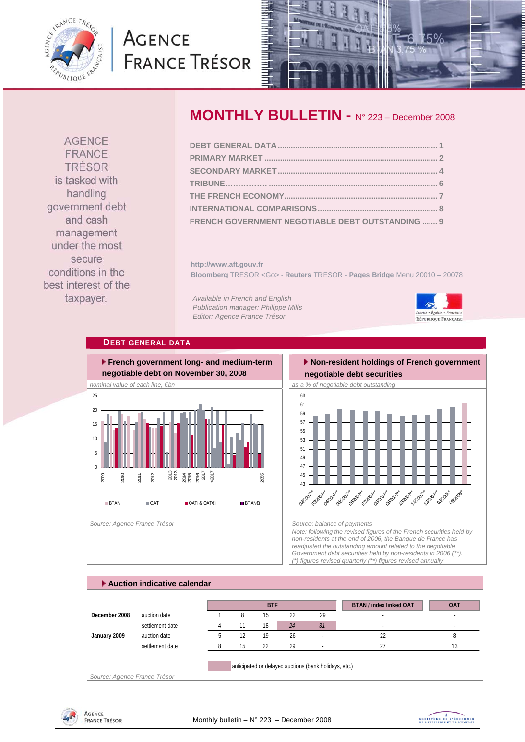

# **AGENCE FRANCE TRÉSOR**



**AGENCE** FRANCE TRÉSOR is tasked with handling government debt and cash management under the most secure conditions in the best interest of the taxpayer.

# **MONTHLY BULLETIN -** N° 223 – December 2008

| FRENCH GOVERNMENT NEGOTIABLE DEBT OUTSTANDING  9 |  |
|--------------------------------------------------|--|

**http://www.aft.gouv.fr Bloomberg** TRESOR <Go> - **Reuters** TRESOR - **Pages Bridge** Menu 20010 – 20078

*Available in French and English Publication manager: Philippe Mills Editor: Agence France Trésor* 



# **DEBT GENERAL DATA**



# **Non-resident holdings of French government**



*Note: following the revised figures of the French securities held by non-residents at the end of 2006, the Banque de France has readjusted the outstanding amount related to the negotiable Government debt securities held by non-residents in 2006 (\*\*). (\*) figures revised quarterly (\*\*) figures revised annually* 

|               |                 |    | <b>BTF</b> |    |    | <b>BTAN / index linked OAT</b> | <b>OAT</b> |
|---------------|-----------------|----|------------|----|----|--------------------------------|------------|
| December 2008 | auction date    | 8  | 15         | 22 | 29 |                                |            |
|               | settlement date |    | 18         | 24 | 31 |                                |            |
| January 2009  | auction date    | 12 | 19         | 26 |    | 22                             |            |
|               | settlement date | 15 | 22         | 29 |    | 27                             | 13         |



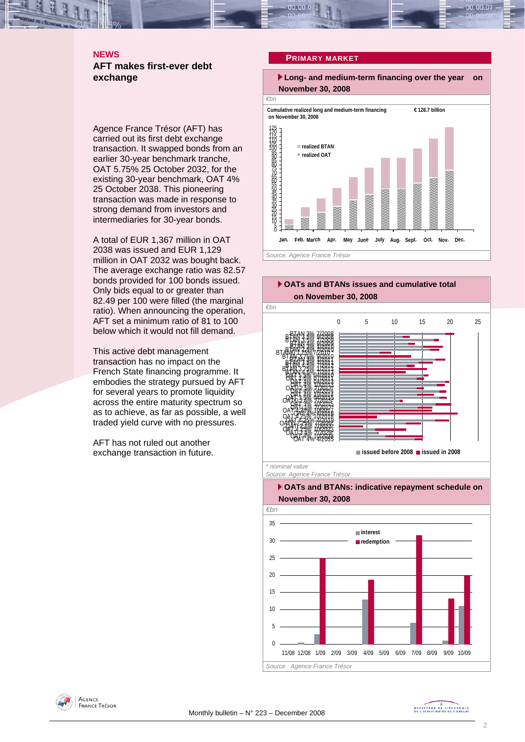# **NEWS AFT makes first-ever debt exchange**

Agence France Trésor (AFT) has carried out its first debt exchange transaction. It swapped bonds from an earlier 30-year benchmark tranche, OAT 5.75% 25 October 2032, for the existing 30-year benchmark, OAT 4% 25 October 2038. This pioneering transaction was made in response to strong demand from investors and intermediaries for 30-year bonds.

A total of EUR 1,367 million in OAT 2038 was issued and EUR 1,129 million in OAT 2032 was bought back. The average exchange ratio was 82.57 bonds provided for 100 bonds issued. Only bids equal to or greater than 82.49 per 100 were filled (the marginal ratio). When announcing the operation, AFT set a minimum ratio of 81 to 100 below which it would not fill demand.

This active debt management transaction has no impact on the French State financing programme. It embodies the strategy pursued by AFT for several years to promote liquidity across the entire maturity spectrum so as to achieve, as far as possible, a well traded yield curve with no pressures.

AFT has not ruled out another exchange transaction in future.







*Source : Agence France Trésor* 



MINISTRE DE L'ÉCONOMIE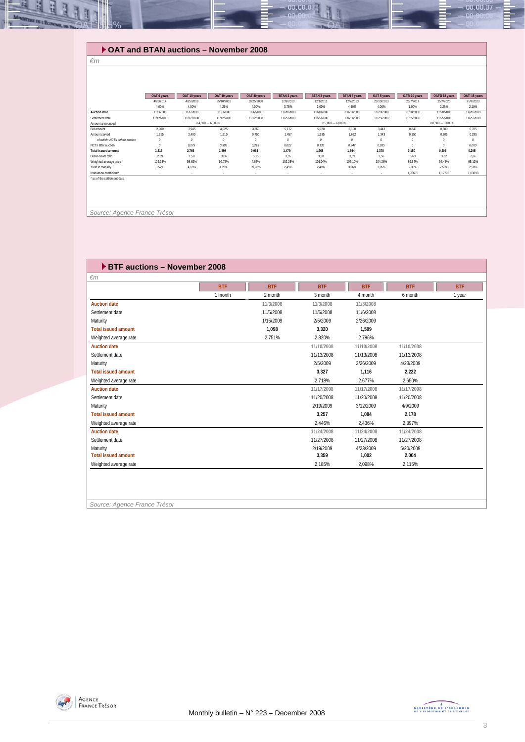

## **OAT and BTAN auctions – November 2008**

#### *€m*

|                               | OAT 6 years | OAT 10 years | OAT 10 years            | OAT 30 years | <b>BTAN 2 years</b> | BTAN 3 years             | <b>BTAN 5 years</b> | OAT 5 years         | OATI 10 years | OAT€i 12 years | OATi 15 years |
|-------------------------------|-------------|--------------|-------------------------|--------------|---------------------|--------------------------|---------------------|---------------------|---------------|----------------|---------------|
|                               | 4/25/2014   | 4/25/2018    | 25/10/2018              | 10/25/2038   | 12/9/2010           | 12/1/2011                | 12/7/2013           | 25/10/2013          | 25/7/2017     | 25/7/2020      | 25/7/2023     |
|                               | 4.00%       | 4,00%        | 4,25%                   | 4,00%        | 3,75%               | 3,00%                    | 4,50%               | 4,00%               | 1,00%         | 2,25%          | 2,10%         |
| Auction date                  | 11/6/2008   | 11/6/2008    | 11/6/2008               | 11/6/2008    | 11/20/2008          | 11/20/2008               | 11/20/2008          | 11/20/2008          | 11/20/2008    | 11/20/2008     | 11/20/2008    |
| Settlement date               | 11/12/2008  | 11/12/2008   | 11/12/2008              | 11/12/2008   | 11/25/2008          | 11/25/2008               | 11/25/2008          | 11/25/2008          | 11/25/2008    | 11/25/2008     | 11/25/2008    |
| Amount announced              |             |              | $<$ 4.500 $-$ 6.000 $>$ |              |                     | $< 5,000 \cdots 6,000 >$ |                     | $< 0.500 - 1.000 >$ |               |                |               |
| Bid amount                    | 2,900       | 3,945        | 4,625                   | 3,860        | 5,172               | 5,070                    | 6,100               | 3,443               | 0.845         | 0.680          | 0.785         |
| Amount served                 | 1.215       | 2.490        | 1.510                   | 0.750        | 1.457               | 1.535                    | 1.652               | 1.343               | 0.150         | 0.205          | 0,295         |
| of which: NCTs before auction | 0           | 0            | $\mathcal{O}$           | $\theta$     | $\theta$            | $\theta$                 | $\theta$            | $\theta$            | $\theta$      | 0              | $\mathcal{O}$ |
| NCTs after auction            | $\theta$    | 0,275        | 0,388                   | 0,213        | 0,022               | 0, 133                   | 0,242               | 0,035               | $\theta$      | $\theta$       | 0,000         |
| Total issued amount           | 1.215       | 2.765        | 1.898                   | 0.963        | 1.479               | 1.668                    | 1.894               | 1.378               | 0,150         | 0.205          | 0.295         |
| Bid-to-cover ratio            | 2.39        | 1,58         | 3,06                    | 5,15         | 3,55                | 3,30                     | 3,69                | 2,56                | 5,63          | 3.32           | 2,66          |
| Weighted average price        | 102,33%     | 98,62%       | 99,75%                  | 4,62%        | 102,25%             | 101,04%                  | 106,10%             | 104,28%             | 89.64%        | 97.45%         | 95,12%        |
| Yield to maturity             | 3.52%       | 4,18%        | 4,28%                   | 89,98%       | 2,45%               | 2,49%                    | 3,06%               | 3,05%               | 2,33%         | 2,50%          | 2,50%         |
| Indexation coefficient*       |             |              | $\sim$                  | $\sim$       | $\sim$              | $\sim$                   | <b>.</b>            | .                   | 1,06655       | 1,12795        | 1,03393       |
| as of the settlement date     |             |              |                         |              |                     |                          |                     |                     |               |                |               |
|                               |             |              |                         |              |                     |                          |                     |                     |               |                |               |
|                               |             |              |                         |              |                     |                          |                     |                     |               |                |               |
|                               |             |              |                         |              |                     |                          |                     |                     |               |                |               |

 *Source: Agence France Trésor* 

## **BTF auctions – November 2008**

| $\epsilon$ m               |            |            |            |            |            |            |
|----------------------------|------------|------------|------------|------------|------------|------------|
|                            | <b>BTF</b> | <b>BTF</b> | <b>BTF</b> | <b>BTF</b> | <b>BTF</b> | <b>BTF</b> |
|                            | 1 month    | 2 month    | 3 month    | 4 month    | 6 month    | 1 year     |
| <b>Auction date</b>        |            | 11/3/2008  | 11/3/2008  | 11/3/2008  |            |            |
| Settlement date            |            | 11/6/2008  | 11/6/2008  | 11/6/2008  |            |            |
| Maturity                   |            | 1/15/2009  | 2/5/2009   | 2/26/2009  |            |            |
| <b>Total issued amount</b> |            | 1,098      | 3,320      | 1,599      |            |            |
| Weighted average rate      |            | 2.751%     | 2.820%     | 2.796%     |            |            |
| <b>Auction date</b>        |            |            | 11/10/2008 | 11/10/2008 | 11/10/2008 |            |
| Settlement date            |            |            | 11/13/2008 | 11/13/2008 | 11/13/2008 |            |
| Maturity                   |            |            | 2/5/2009   | 3/26/2009  | 4/23/2009  |            |
| <b>Total issued amount</b> |            |            | 3,327      | 1,116      | 2,222      |            |
| Weighted average rate      |            |            | 2.718%     | 2.677%     | 2,650%     |            |
| <b>Auction date</b>        |            |            | 11/17/2008 | 11/17/2008 | 11/17/2008 |            |
| Settlement date            |            |            | 11/20/2008 | 11/20/2008 | 11/20/2008 |            |
| Maturity                   |            |            | 2/19/2009  | 3/12/2009  | 4/9/2009   |            |
| <b>Total issued amount</b> |            |            | 3,257      | 1,084      | 2,178      |            |
| Weighted average rate      |            |            | 2,446%     | 2.436%     | 2.397%     |            |
| <b>Auction date</b>        |            |            | 11/24/2008 | 11/24/2008 | 11/24/2008 |            |
| Settlement date            |            |            | 11/27/2008 | 11/27/2008 | 11/27/2008 |            |
| Maturity                   |            |            | 2/19/2009  | 4/23/2009  | 5/20/2009  |            |
| <b>Total issued amount</b> |            |            | 3,359      | 1,002      | 2,004      |            |
| Weighted average rate      |            |            | 2,185%     | 2,098%     | 2,115%     |            |

*Source: Agence France Trésor* 



 $00.00.07$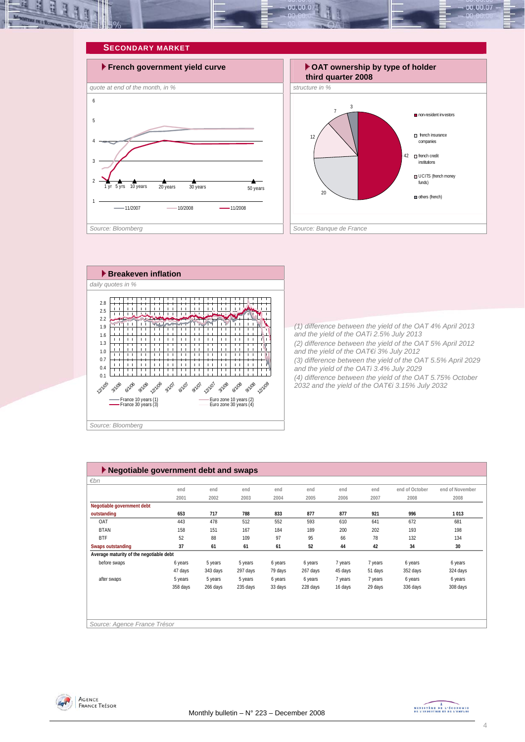









*(1) difference between the yield of the OAT 4% April 2013 and the yield of the OATi 2.5% July 2013 (2) difference between the yield of the OAT 5% April 2012 and the yield of the OAT€i 3% July 2012 (3) difference between the yield of the OAT 5.5% April 2029 and the yield of the OATi 3.4% July 2029 (4) difference between the yield of the OAT 5.75% October 2032 and the yield of the OAT€i 3.15% July 2032* 

| $\blacktriangleright$ Negotiable government debt and swaps |          |          |          |         |          |         |         |                |                 |
|------------------------------------------------------------|----------|----------|----------|---------|----------|---------|---------|----------------|-----------------|
| €bn                                                        |          |          |          |         |          |         |         |                |                 |
|                                                            | end      | end      | end      | end     | end      | end     | end     | end of October | end of November |
|                                                            | 2001     | 2002     | 2003     | 2004    | 2005     | 2006    | 2007    | 2008           | 2008            |
| Negotiable government debt                                 |          |          |          |         |          |         |         |                |                 |
| outstanding                                                | 653      | 717      | 788      | 833     | 877      | 877     | 921     | 996            | 1013            |
| OAT                                                        | 443      | 478      | 512      | 552     | 593      | 610     | 641     | 672            | 681             |
| <b>BTAN</b>                                                | 158      | 151      | 167      | 184     | 189      | 200     | 202     | 193            | 198             |
| <b>BTF</b>                                                 | 52       | 88       | 109      | 97      | 95       | 66      | 78      | 132            | 134             |
| <b>Swaps outstanding</b>                                   | 37       | 61       | 61       | 61      | 52       | 44      | 42      | 34             | 30              |
| Average maturity of the negotiable debt                    |          |          |          |         |          |         |         |                |                 |
| before swaps                                               | 6 years  | 5 years  | 5 years  | 6 years | 6 years  | 7 years | 7 years | 6 years        | 6 years         |
|                                                            | 47 days  | 343 days | 297 days | 79 days | 267 days | 45 days | 51 days | 352 days       | 324 days        |
| after swaps                                                | 5 years  | 5 years  | 5 years  | 6 years | 6 years  | 7 years | 7 years | 6 years        | 6 years         |
|                                                            | 358 days | 266 days | 235 days | 33 days | 228 days | 16 days | 29 days | 336 days       | 308 days        |
|                                                            |          |          |          |         |          |         |         |                |                 |
|                                                            |          |          |          |         |          |         |         |                |                 |
|                                                            |          |          |          |         |          |         |         |                |                 |
| Source: Agence France Trésor                               |          |          |          |         |          |         |         |                |                 |
|                                                            |          |          |          |         |          |         |         |                |                 |



MINISTÈRE DE L'ÉCONOMIE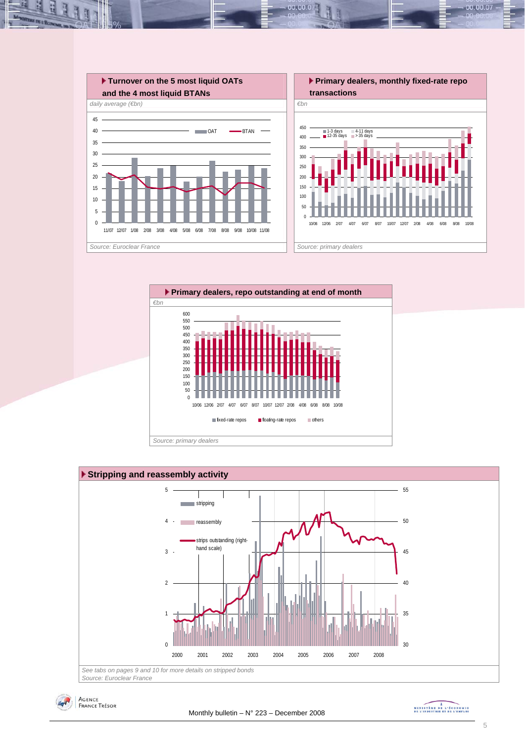

 $00.00.0$ 







MINISTREE DE L'ÉCONOMIE

00.00.07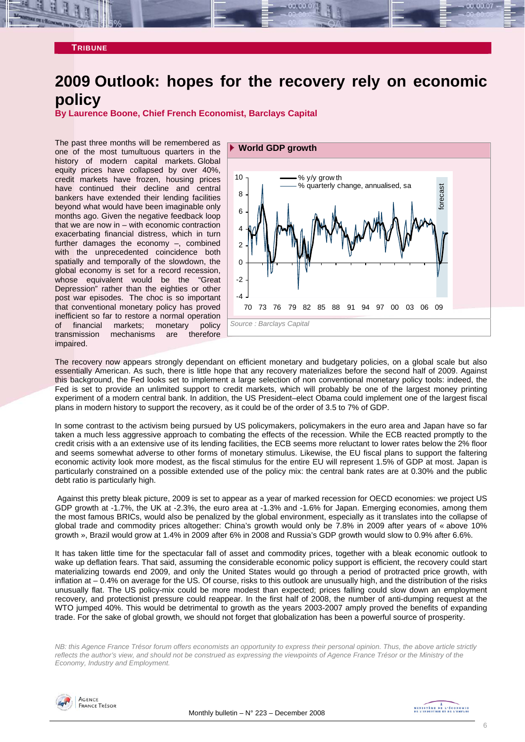### **TRIBUNE**

# **2009 Outlook: hopes for the recovery rely on economic policy**

**By Laurence Boone, Chief French Economist, Barclays Capital** 

The past three months will be remembered as one of the most tumultuous quarters in the history of modern capital markets. Global equity prices have collapsed by over 40%, credit markets have frozen, housing prices have continued their decline and central bankers have extended their lending facilities beyond what would have been imaginable only months ago. Given the negative feedback loop that we are now in – with economic contraction exacerbating financial distress, which in turn further damages the economy –, combined with the unprecedented coincidence both spatially and temporally of the slowdown, the global economy is set for a record recession, whose equivalent would be the "Great Depression" rather than the eighties or other post war episodes. The choc is so important that conventional monetary policy has proved inefficient so far to restore a normal operation of financial markets; monetary policy<br>transmission mechanisms are therefore transmission mechanisms are impaired.



The recovery now appears strongly dependant on efficient monetary and budgetary policies, on a global scale but also essentially American. As such, there is little hope that any recovery materializes before the second half of 2009. Against this background, the Fed looks set to implement a large selection of non conventional monetary policy tools: indeed, the Fed is set to provide an unlimited support to credit markets, which will probably be one of the largest money printing experiment of a modern central bank. In addition, the US President–elect Obama could implement one of the largest fiscal plans in modern history to support the recovery, as it could be of the order of 3.5 to 7% of GDP.

In some contrast to the activism being pursued by US policymakers, policymakers in the euro area and Japan have so far taken a much less aggressive approach to combating the effects of the recession. While the ECB reacted promptly to the credit crisis with a an extensive use of its lending facilities, the ECB seems more reluctant to lower rates below the 2% floor and seems somewhat adverse to other forms of monetary stimulus. Likewise, the EU fiscal plans to support the faltering economic activity look more modest, as the fiscal stimulus for the entire EU will represent 1.5% of GDP at most. Japan is particularly constrained on a possible extended use of the policy mix: the central bank rates are at 0.30% and the public debt ratio is particularly high.

 Against this pretty bleak picture, 2009 is set to appear as a year of marked recession for OECD economies: we project US GDP growth at -1.7%, the UK at -2.3%, the euro area at -1.3% and -1.6% for Japan. Emerging economies, among them the most famous BRICs, would also be penalized by the global environment, especially as it translates into the collapse of global trade and commodity prices altogether: China's growth would only be 7.8% in 2009 after years of « above 10% growth », Brazil would grow at 1.4% in 2009 after 6% in 2008 and Russia's GDP growth would slow to 0.9% after 6.6%.

It has taken little time for the spectacular fall of asset and commodity prices, together with a bleak economic outlook to wake up deflation fears. That said, assuming the considerable economic policy support is efficient, the recovery could start materializing towards end 2009, and only the United States would go through a period of protracted price growth, with inflation at – 0.4% on average for the US. Of course, risks to this outlook are unusually high, and the distribution of the risks unusually flat. The US policy-mix could be more modest than expected; prices falling could slow down an employment recovery, and protectionist pressure could reappear. In the first half of 2008, the number of anti-dumping request at the WTO jumped 40%. This would be detrimental to growth as the years 2003-2007 amply proved the benefits of expanding trade. For the sake of global growth, we should not forget that globalization has been a powerful source of prosperity.

*NB: this Agence France Trésor forum offers economists an opportunity to express their personal opinion. Thus, the above article strictly reflects the author's view, and should not be construed as expressing the viewpoints of Agence France Trésor or the Ministry of the Economy, Industry and Employment.* 

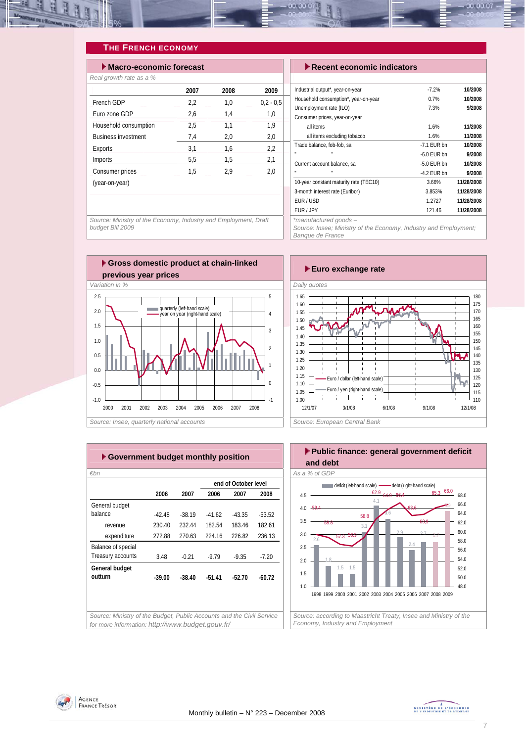

## **THE FRENCH ECONOMY**

| $\blacktriangleright$ Macro-economic forecast |      |      | $\blacktriangleright$ Recent economic indicators |                                                          |
|-----------------------------------------------|------|------|--------------------------------------------------|----------------------------------------------------------|
| Real growth rate as a %                       |      |      |                                                  |                                                          |
|                                               | 2007 | 2008 | 2009                                             | Industrial output*, year-on-year                         |
| French GDP                                    | 2,2  | 1,0  | $0.2 - 0.5$                                      | Household consumption*, year-on-year                     |
| Euro zone GDP                                 | 2,6  | 1,4  | 1,0                                              | Unemployment rate (ILO)<br>Consumer prices, year-on-year |
| Household consumption                         | 2,5  | 1,1  | 1,9                                              | all items                                                |
| <b>Business investment</b>                    | 7,4  | 2,0  | 2,0                                              | all items excluding tobacco                              |
| Exports                                       | 3,1  | 1,6  | 2,2                                              | Trade balance, fob-fob, sa                               |
| Imports                                       | 5,5  | 1,5  | 2,1                                              | Current account balance, sa                              |
| Consumer prices                               | 1,5  | 2,9  | 2,0                                              | m.                                                       |
| (year-on-year)                                |      |      |                                                  | 10-year constant maturity rate (TEC10)                   |
|                                               |      |      |                                                  | 3-month interest rate (Euribor)                          |
|                                               |      |      |                                                  | EUR / USD                                                |

| $\blacktriangleright$ Recent economic indicators                 |               |            |  |  |  |  |  |  |
|------------------------------------------------------------------|---------------|------------|--|--|--|--|--|--|
|                                                                  |               |            |  |  |  |  |  |  |
| Industrial output*, year-on-year                                 | $-7.2%$       | 10/2008    |  |  |  |  |  |  |
| Household consumption*, year-on-year                             | 0.7%          | 10/2008    |  |  |  |  |  |  |
| Unemployment rate (ILO)                                          | 7.3%          | 9/2008     |  |  |  |  |  |  |
| Consumer prices, year-on-year                                    |               |            |  |  |  |  |  |  |
| all items                                                        | 1.6%          | 11/2008    |  |  |  |  |  |  |
| all items excluding tobacco                                      | 1.6%          | 11/2008    |  |  |  |  |  |  |
| Trade balance, fob-fob, sa                                       | $-7.1$ EUR bn | 10/2008    |  |  |  |  |  |  |
|                                                                  | $-6.0$ EUR bn | 9/2008     |  |  |  |  |  |  |
| Current account balance, sa                                      | $-5.0$ EUR bn | 10/2008    |  |  |  |  |  |  |
|                                                                  | -4.2 EUR bn   | 9/2008     |  |  |  |  |  |  |
| 10-year constant maturity rate (TEC10)                           | 3.66%         | 11/28/2008 |  |  |  |  |  |  |
| 3-month interest rate (Euribor)                                  | 3.853%        | 11/28/2008 |  |  |  |  |  |  |
| EUR/USD                                                          | 1.2727        | 11/28/2008 |  |  |  |  |  |  |
| EUR / JPY                                                        | 121.46        | 11/28/2008 |  |  |  |  |  |  |
| *manufactured goods-                                             |               |            |  |  |  |  |  |  |
| Source: Insee; Ministry of the Economy, Industry and Employment; |               |            |  |  |  |  |  |  |

*Banque de France* 

*Source: Ministry of the Economy, Industry and Employment, Draft budget Bill 2009* 





|                    |          |          |          | end of October level |          |
|--------------------|----------|----------|----------|----------------------|----------|
|                    | 2006     | 2007     | 2006     | 2007                 | 2008     |
| General budget     |          |          |          |                      |          |
| balance            | $-42.48$ | $-38.19$ | $-41.62$ | $-43.35$             | $-53.52$ |
| revenue            | 230.40   | 232.44   | 182.54   | 18346                | 182.61   |
| expenditure        | 272.88   | 270.63   | 224.16   | 226.82               | 236.13   |
| Balance of special |          |          |          |                      |          |
| Treasury accounts  | 3.48     | $-0.21$  | $-9.79$  | $-9.35$              | $-7.20$  |
| General budget     |          |          |          |                      |          |
| outturn            | $-39.00$ | $-38.40$ | $-51.41$ | $-52.70$             | -60.72   |
|                    |          |          |          |                      |          |
|                    |          |          |          |                      |          |





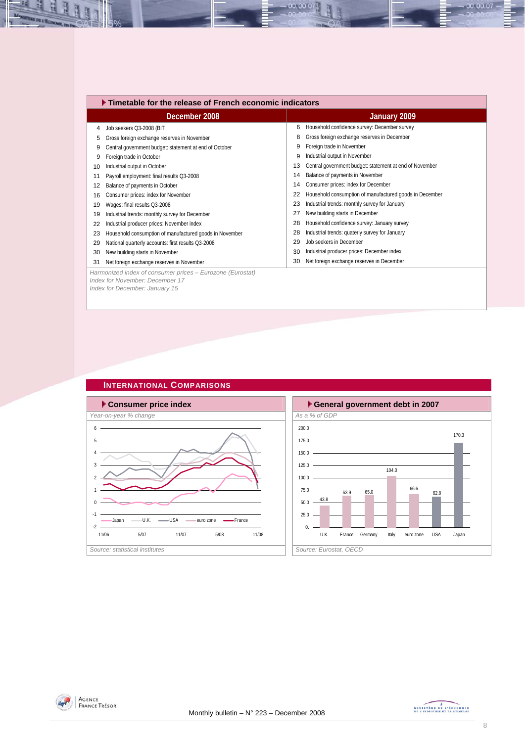|    | ▶ Timetable for the release of French economic indicators                                    |    |                                                         |  |  |  |  |  |
|----|----------------------------------------------------------------------------------------------|----|---------------------------------------------------------|--|--|--|--|--|
|    | December 2008                                                                                |    | January 2009                                            |  |  |  |  |  |
| 4  | Job seekers Q3-2008 (BIT                                                                     | 6  | Household confidence survey: December survey            |  |  |  |  |  |
| 5  | Gross foreign exchange reserves in November                                                  | 8  | Gross foreign exchange reserves in December             |  |  |  |  |  |
| 9  | Central government budget: statement at end of October                                       | 9  | Foreign trade in November                               |  |  |  |  |  |
| 9  | Foreign trade in October                                                                     | 9  | Industrial output in November                           |  |  |  |  |  |
| 10 | Industrial output in October                                                                 | 13 | Central government budget: statement at end of November |  |  |  |  |  |
| 11 | Payroll employment: final results Q3-2008                                                    | 14 | Balance of payments in November                         |  |  |  |  |  |
| 12 | Balance of payments in October                                                               | 14 | Consumer prices: index for December                     |  |  |  |  |  |
| 16 | Consumer prices: index for November                                                          | 22 | Household consumption of manufactured goods in December |  |  |  |  |  |
| 19 | Wages: final results Q3-2008                                                                 | 23 | Industrial trends: monthly survey for January           |  |  |  |  |  |
| 19 | Industrial trends: monthly survey for December                                               | 27 | New building starts in December                         |  |  |  |  |  |
| 22 | Industrial producer prices: November index                                                   | 28 | Household confidence survey: January survey             |  |  |  |  |  |
| 23 | Household consumption of manufactured goods in November                                      | 28 | Industrial trends: quaterly survey for January          |  |  |  |  |  |
| 29 | National quarterly accounts: first results Q3-2008                                           | 29 | Job seekers in December                                 |  |  |  |  |  |
| 30 | New building starts in November                                                              | 30 | Industrial producer prices: December index              |  |  |  |  |  |
| 31 | Net foreign exchange reserves in November                                                    | 30 | Net foreign exchange reserves in December               |  |  |  |  |  |
|    | Harmonized index of consumer prices - Eurozone (Eurostat)<br>Index for November: December 17 |    |                                                         |  |  |  |  |  |
|    | Index for December: January 15                                                               |    |                                                         |  |  |  |  |  |

 $-00.00.07$ 

# **INTERNATIONAL COMPARISONS**





즤 H

Ŀ



66.6

170.3

 $-00.00.07 -$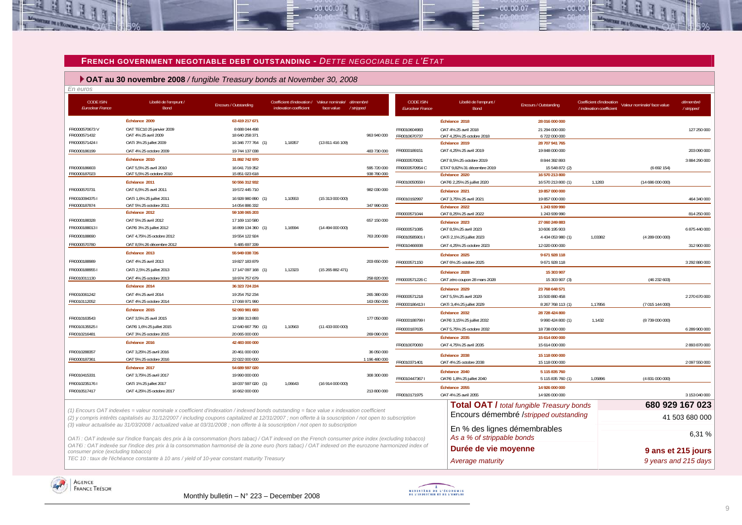

 $-00.00.07$ 

 **OAT au 30 novembre 2008** */ fungible Treasury bonds at November 30, 2008*

| En euros                                    |                                                                                                                                                                                                                                                                                                     |                                      |                                                                       |                  |                            |                                             |                                                            |                                                  |                          |                                                      |                        |
|---------------------------------------------|-----------------------------------------------------------------------------------------------------------------------------------------------------------------------------------------------------------------------------------------------------------------------------------------------------|--------------------------------------|-----------------------------------------------------------------------|------------------|----------------------------|---------------------------------------------|------------------------------------------------------------|--------------------------------------------------|--------------------------|------------------------------------------------------|------------------------|
| <b>CODE ISIN</b><br><b>Euroclear France</b> | Libellé de l'emprunt /<br><b>Bond</b>                                                                                                                                                                                                                                                               | Encours / Outstanding                | Coefficient d'indexation / Valeur nominale/<br>indexation coefficient | face value       | démembré<br>/stripped      | <b>CODE ISIN</b><br><b>Euroclear France</b> | Libellé de l'emprunt /<br>Bond                             | Encours / Outstanding                            | / indexation coefficient | Coefficient d'indexation Valeur nominale/ face value | démembré<br>/ stripped |
|                                             | Échéance 2009                                                                                                                                                                                                                                                                                       | 63 419 217 671                       |                                                                       |                  |                            |                                             | Échéance 2018                                              | 28 016 000 000                                   |                          |                                                      |                        |
| FR0000570673V<br>FR0000571432               | OAT TEC10 25 janvier 2009<br>OAT 4% 25 avril 2009                                                                                                                                                                                                                                                   | 8 688 044 498<br>18 640 258 371      |                                                                       |                  | 963 940 000                | FR0010604983<br>FR0010670737                | OAT 4% 25 avril 2018<br>OAT 4,25% 25 octobre 2018          | 21 294 000 000<br>6 722 000 000                  |                          |                                                      | 127 250 000            |
| FR00005714241                               | OATi 3% 25 juillet 2009                                                                                                                                                                                                                                                                             | 16 346 777 764 (1)                   | 1,18357                                                               | (13811416109)    |                            |                                             | Échéance 2019                                              | 28 707 941 765                                   |                          |                                                      |                        |
| FR0000186199                                | OAT 4% 25 octobre 2009                                                                                                                                                                                                                                                                              | 19 744 137 038                       |                                                                       |                  | 483 730 000                | FR0000189151                                | OAT 4,25% 25 avril 2019                                    | 19 848 000 000                                   |                          |                                                      | 203 090 000            |
|                                             | Échéance 2010                                                                                                                                                                                                                                                                                       | 31 892 742 970                       |                                                                       |                  |                            | FR0000570921                                | OAT 8,5% 25 octobre 2019                                   | 8 844 392 893                                    |                          |                                                      | 3 884 290 000          |
| FR0000186603<br>FR0000187023                | OAT 5,5% 25 avril 2010<br>OAT 5,5% 25 octobre 2010                                                                                                                                                                                                                                                  | 16 041 719 352<br>15 851 023 618     |                                                                       |                  | 595 720 000<br>938 780 000 | FR0000570954 C                              | ETAT 9,82% 31 décembre 2019<br>Échéance 2020               | 15 548 872 (2)<br>16 570 213 800                 |                          | (6692154)                                            |                        |
|                                             | Échéance 2011                                                                                                                                                                                                                                                                                       | 50 556 312 932                       |                                                                       |                  |                            | FR00100505591                               | OATEi 2,25% 25 juillet 2020                                | 16 570 213 800 (1                                | 1,1283                   | (14686000000)                                        |                        |
| FR0000570731                                | OAT 6,5% 25 avril 2011                                                                                                                                                                                                                                                                              | 19 572 445 710                       |                                                                       |                  | 982 030 000                |                                             | Échéance 2021                                              | 19 857 000 000                                   |                          |                                                      |                        |
| FR00100943751                               | OATi 1,6% 25 juillet 2011                                                                                                                                                                                                                                                                           | 16 928 980 890 (1)                   | 1.10553                                                               | (15313000000)    |                            | FR0010192997                                | OAT 3.75% 25 avril 2021                                    | 19 857 000 000                                   |                          |                                                      | 464 340 000            |
| FR0000187874                                | OAT 5% 25 octobre 2011                                                                                                                                                                                                                                                                              | 14 054 886 332                       |                                                                       |                  | 347 990 000                |                                             | Échéance 2022                                              | 1 243 939 990                                    |                          |                                                      |                        |
|                                             | Échéance 2012                                                                                                                                                                                                                                                                                       | 59 108 065 203                       |                                                                       |                  |                            | FR0000571044                                | OAT 8,25% 25 avril 2022                                    | 1 243 939 990                                    |                          |                                                      | 814 250 000            |
| FR0000188328                                | OAT 5% 25 avril 2012                                                                                                                                                                                                                                                                                | 17 169 110 580                       |                                                                       |                  | 657 150 000                |                                             | Échéance 2023                                              | 27 060 249 883                                   |                          |                                                      |                        |
| FR00001880131                               | OATEI 3% 25 juillet 2012                                                                                                                                                                                                                                                                            | 16 899 134 360 (1)                   | 1,16594                                                               | (1449400000)     |                            | FR0000571085                                | OAT 8,5% 25 avril 2023                                     | 10 606 195 903                                   |                          |                                                      | 6 875 440 000          |
| FR0000188690                                | OAT 4,75% 25 octobre 2012                                                                                                                                                                                                                                                                           | 19 554 122 924                       |                                                                       |                  | 763 200 000                | FR0010585901 I                              | OATi 2,1% 25 juillet 2023                                  | 4 434 053 980 (1)                                | 1,03382                  | (4289000000)                                         |                        |
| FR0000570780                                | OAT 8,5% 26 décembre 2012                                                                                                                                                                                                                                                                           | 5 485 697 339                        |                                                                       |                  |                            | FR0010466938                                | OAT 4.25% 25 octobre 2023                                  | 12 020 000 000                                   |                          |                                                      | 312 900 000            |
|                                             | Échéance 2013                                                                                                                                                                                                                                                                                       | 55 949 038 726                       |                                                                       |                  |                            |                                             | Échéance 2025                                              | 9671928118                                       |                          |                                                      |                        |
| FR0000188989                                | OAT 4% 25 avril 2013                                                                                                                                                                                                                                                                                | 19 827 183 879                       |                                                                       |                  | 203 650 000                | FR0000571150                                | OAT 6% 25 octobre 2025                                     | 9 671 928 118                                    |                          |                                                      | 3 292 880 000          |
| FR00001889551                               | OATi 2,5% 25 juillet 2013                                                                                                                                                                                                                                                                           | 17 147 097 168 (1)                   | 1,12323                                                               | (15265882471)    |                            |                                             | Échéance 2028                                              | 15 303 907                                       |                          |                                                      |                        |
| FR0010011130                                | OAT 4% 25 octobre 2013                                                                                                                                                                                                                                                                              | 18 974 757 679                       |                                                                       |                  | 258 820 000                | FR0000571226 C                              | OAT zéro coupon 28 mars 2028                               | 15 303 907 (3)                                   |                          | (46232603)                                           |                        |
|                                             | Échéance 2014                                                                                                                                                                                                                                                                                       | 36 323 724 224                       |                                                                       |                  |                            |                                             | Échéance 2029                                              | 23 768 648 571                                   |                          |                                                      |                        |
| FR0010061242                                | OAT 4% 25 avril 2014                                                                                                                                                                                                                                                                                | 19 254 752 234                       |                                                                       |                  | 265 380 000                | FR0000571218                                | OAT 5,5% 25 avril 2029                                     | 15 500 880 458                                   |                          |                                                      | 2 270 670 000          |
| FR0010112052                                | OAT 4% 25 octobre 2014                                                                                                                                                                                                                                                                              | 17 068 971 990                       |                                                                       |                  | 163 050 000                | FR00001864131                               | OATi 3,4% 25 juillet 2029                                  | 8 267 768 113 (1)                                | 1,17856                  | (7015144000)                                         |                        |
|                                             | Échéance 2015                                                                                                                                                                                                                                                                                       | 52 093 981 683                       |                                                                       |                  |                            |                                             | Échéance 2032                                              | 28 728 424 800                                   |                          |                                                      |                        |
| FR0010163543                                | OAT 3.5% 25 avril 2015                                                                                                                                                                                                                                                                              | 19 388 313 893                       |                                                                       |                  | 177 050 000                | FR00001887991                               | OATEi 3,15% 25 juillet 2032                                | 9 990 424 800 (1)                                | 1,1432                   | (8739 000 000)                                       |                        |
| FR00101355251<br>FR0010216481               | OATEi 1,6% 25 juillet 2015<br>OAT 3% 25 octobre 2015                                                                                                                                                                                                                                                | 12 640 667 790 (1)<br>20 065 000 000 | 1,10563                                                               | (11433000000)    | 269 090 000                | FR0000187635                                | OAT 5,75% 25 octobre 2032                                  | 18 738 000 000                                   |                          |                                                      | 6 289 900 000          |
|                                             | Échéance 2016                                                                                                                                                                                                                                                                                       | 42 483 000 000                       |                                                                       |                  |                            |                                             | Échéance 2035                                              | 15 614 000 000                                   |                          |                                                      |                        |
|                                             |                                                                                                                                                                                                                                                                                                     |                                      |                                                                       |                  |                            | FR0010070060                                | OAT 4,75% 25 avril 2035                                    | 15 614 000 000                                   |                          |                                                      | 2893870000             |
| FR0010288357<br>FR0000187361                | OAT 3,25% 25 avril 2016<br>OAT 5% 25 octobre 2016                                                                                                                                                                                                                                                   | 20 461 000 000<br>22 022 000 000     |                                                                       |                  | 36 050 000                 |                                             | Échéance 2038                                              | 15 118 000 000                                   |                          |                                                      |                        |
|                                             | Échéance 2017                                                                                                                                                                                                                                                                                       | 54 689 597 020                       |                                                                       |                  | 1 196 480 000              | FR0010371401                                | OAT 4% 25 octobre 2038                                     | 15 118 000 000                                   |                          |                                                      | 2 097 550 000          |
| FR0010415331                                | OAT 3,75% 25 avril 2017                                                                                                                                                                                                                                                                             | 19 990 000 000                       |                                                                       |                  | 308 300 000                |                                             | Échéance 2040                                              | 5 115 835 760                                    |                          |                                                      |                        |
| FR00102351761                               | OATi 1% 25 juillet 2017                                                                                                                                                                                                                                                                             | 18 037 597 020 (1)                   | 1.06643                                                               | (16 914 000 000) |                            | FR00104473671                               | OATEI 1,8% 25 juillet 2040                                 | 5 115 835 760 (1                                 | 1,05896                  | (4831000000)                                         |                        |
| FR0010517417                                | OAT 4.25% 25 octobre 2017                                                                                                                                                                                                                                                                           | 16 662 000 000                       |                                                                       |                  | 213 800 000                |                                             | Échéance 2055                                              | 14 926 000 000                                   |                          |                                                      |                        |
|                                             |                                                                                                                                                                                                                                                                                                     |                                      |                                                                       |                  |                            | FR0010171975                                | OAT 4% 25 avril 2055                                       | 14 926 000 000                                   |                          |                                                      | 3 153 040 000          |
|                                             |                                                                                                                                                                                                                                                                                                     |                                      |                                                                       |                  |                            |                                             |                                                            | <b>Total OAT / total fungible Treasury bonds</b> |                          |                                                      | 680 929 167 023        |
|                                             | (1) Encours OAT indexées = valeur nominale x coefficient d'indexation / indexed bonds outstanding = face value x indexation coefficient<br>(2) y compris intérêts capitalisés au 31/12/2007 / including coupons capitalized at 12/31/2007; non offerte à la souscription / not open to subscription |                                      |                                                                       |                  |                            |                                             |                                                            | Encours démembré /stripped outstanding           |                          |                                                      | 41 503 680 000         |
|                                             | (3) valeur actualisée au 31/03/2008 / actualized value at 03/31/2008 ; non offerte à la souscription / not open to subscription<br>OATi: OAT indexée sur l'indice français des prix à la consommation (hors tabac) / OAT indexed on the French consumer price index (excluding tobacco)             |                                      |                                                                       |                  |                            |                                             | En % des lignes démembrables<br>As a % of strippable bonds |                                                  |                          |                                                      | 6,31 %                 |
| consumer price (excluding tobacco)          | OATEI: OAT indexée sur l'indice des prix à la consommation harmonisé de la zone euro (hors tabac) / OAT indexed on the eurozone harmonized index of                                                                                                                                                 |                                      |                                                                       |                  |                            |                                             | Durée de vie moyenne                                       |                                                  |                          |                                                      | 9 ans et 215 jours     |
|                                             | TEC 10 : taux de l'échéance constante à 10 ans / yield of 10-year constant maturity Treasury                                                                                                                                                                                                        |                                      |                                                                       |                  |                            |                                             | Average maturity                                           |                                                  |                          |                                                      | 9 years and 215 days   |





 $00007$ 

nn nn